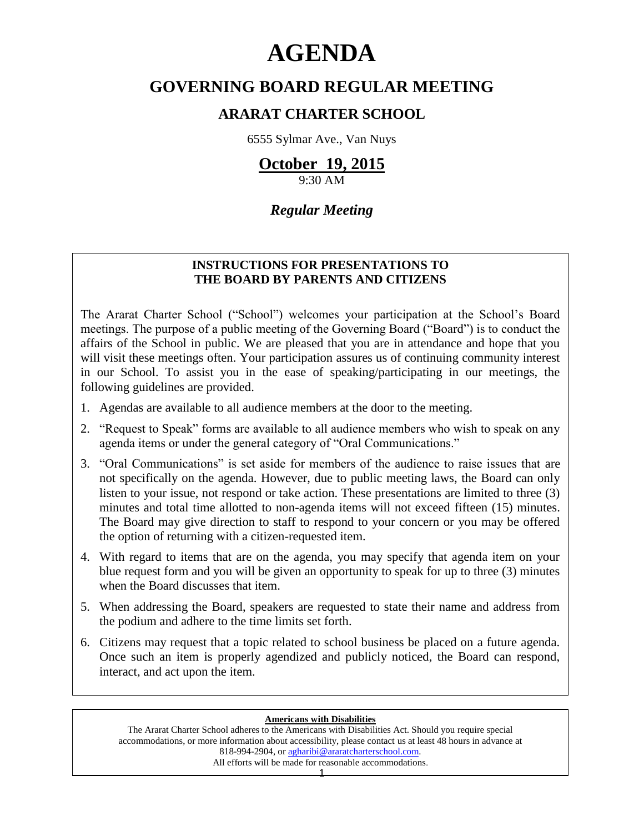# **AGENDA**

# **GOVERNING BOARD REGULAR MEETING**

# **ARARAT CHARTER SCHOOL**

6555 Sylmar Ave., Van Nuys

# **October 19, 2015**

9:30 AM

# *Regular Meeting*

### **INSTRUCTIONS FOR PRESENTATIONS TO THE BOARD BY PARENTS AND CITIZENS**

The Ararat Charter School ("School") welcomes your participation at the School's Board meetings. The purpose of a public meeting of the Governing Board ("Board") is to conduct the affairs of the School in public. We are pleased that you are in attendance and hope that you will visit these meetings often. Your participation assures us of continuing community interest in our School. To assist you in the ease of speaking/participating in our meetings, the following guidelines are provided.

- 1. Agendas are available to all audience members at the door to the meeting.
- 2. "Request to Speak" forms are available to all audience members who wish to speak on any agenda items or under the general category of "Oral Communications."
- 3. "Oral Communications" is set aside for members of the audience to raise issues that are not specifically on the agenda. However, due to public meeting laws, the Board can only listen to your issue, not respond or take action. These presentations are limited to three (3) minutes and total time allotted to non-agenda items will not exceed fifteen (15) minutes. The Board may give direction to staff to respond to your concern or you may be offered the option of returning with a citizen-requested item.
- 4. With regard to items that are on the agenda, you may specify that agenda item on your blue request form and you will be given an opportunity to speak for up to three (3) minutes when the Board discusses that item.
- 5. When addressing the Board, speakers are requested to state their name and address from the podium and adhere to the time limits set forth.
- 6. Citizens may request that a topic related to school business be placed on a future agenda. Once such an item is properly agendized and publicly noticed, the Board can respond, interact, and act upon the item.

#### **Americans with Disabilities**

The Ararat Charter School adheres to the Americans with Disabilities Act. Should you require special accommodations, or more information about accessibility, please contact us at least 48 hours in advance at 818-994-2904, or [agharibi@araratcharterschool.com.](mailto:agharibi@araratcharterschool.com)  All efforts will be made for reasonable accommodations.

1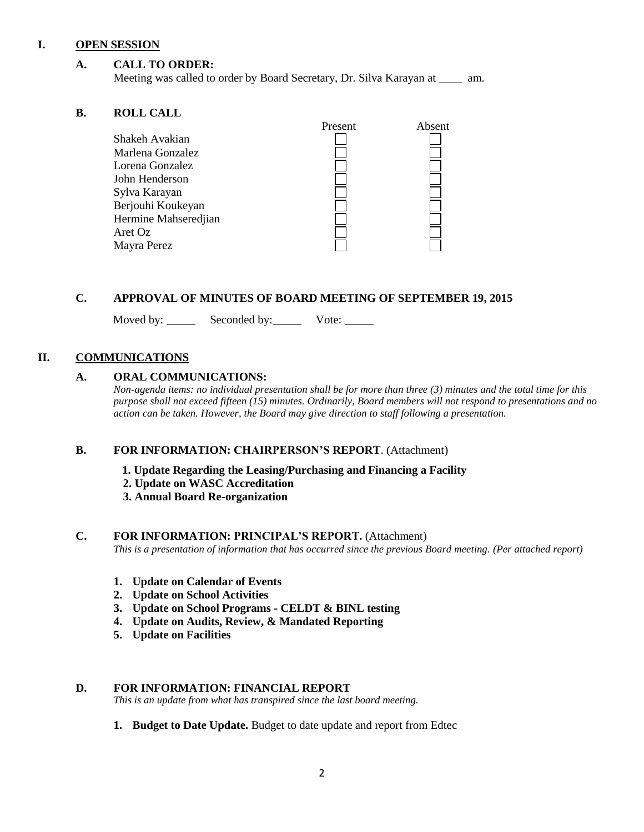#### **I. OPEN SESSION**

#### **A. CALL TO ORDER:**

Meeting was called to order by Board Secretary, Dr. Silva Karayan at \_\_\_\_ am.

#### **B. ROLL CALL**

| муда спан            |         |        |
|----------------------|---------|--------|
|                      | Present | Absent |
| Shakeh Avakian       |         |        |
| Marlena Gonzalez     |         |        |
| Lorena Gonzalez      |         |        |
| John Henderson       |         |        |
| Sylva Karayan        |         |        |
| Berjouhi Koukeyan    |         |        |
| Hermine Mahseredjian |         |        |
| Aret Oz              |         |        |
| Mayra Perez          |         |        |
|                      |         |        |

#### **C. APPROVAL OF MINUTES OF BOARD MEETING OF SEPTEMBER 19, 2015**

Moved by: Seconded by: Vote:

#### **II. COMMUNICATIONS**

#### **A. ORAL COMMUNICATIONS:**

*Non-agenda items: no individual presentation shall be for more than three (3) minutes and the total time for this purpose shall not exceed fifteen (15) minutes. Ordinarily, Board members will not respond to presentations and no action can be taken. However, the Board may give direction to staff following a presentation.*

#### **B. FOR INFORMATION: CHAIRPERSON'S REPORT**. (Attachment)

- **1. Update Regarding the Leasing/Purchasing and Financing a Facility**
- **2. Update on WASC Accreditation**
- **3. Annual Board Re-organization**

#### **C. FOR INFORMATION: PRINCIPAL'S REPORT.** (Attachment)

*This is a presentation of information that has occurred since the previous Board meeting. (Per attached report)*

- **1. Update on Calendar of Events**
- **2. Update on School Activities**
- **3. Update on School Programs - CELDT & BINL testing**
- **4. Update on Audits, Review, & Mandated Reporting**
- **5. Update on Facilities**

#### **D. FOR INFORMATION: FINANCIAL REPORT**

*This is an update from what has transpired since the last board meeting.*

**1. Budget to Date Update.** Budget to date update and report from Edtec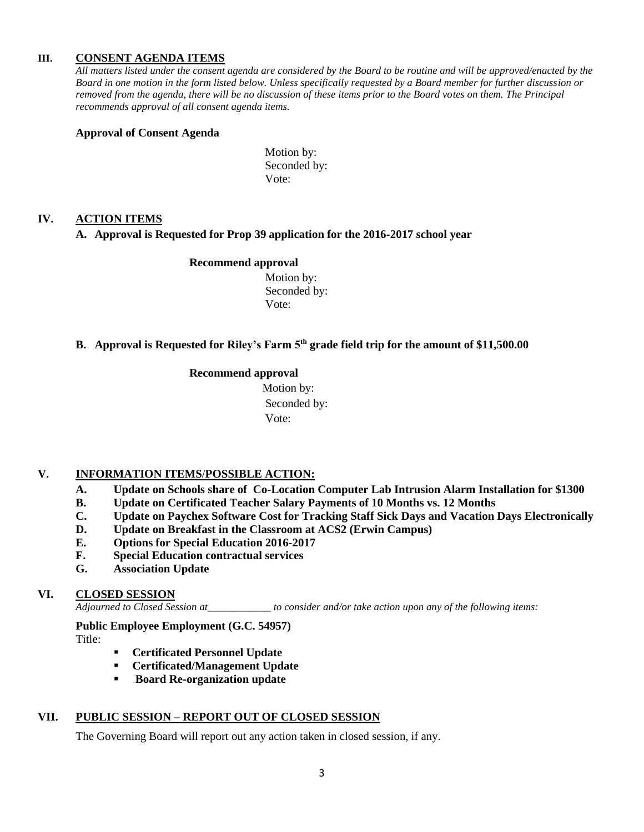#### **III. CONSENT AGENDA ITEMS**

*All matters listed under the consent agenda are considered by the Board to be routine and will be approved/enacted by the Board in one motion in the form listed below. Unless specifically requested by a Board member for further discussion or removed from the agenda, there will be no discussion of these items prior to the Board votes on them. The Principal recommends approval of all consent agenda items.*

#### **Approval of Consent Agenda**

Motion by: Seconded by: Vote:

#### **IV. ACTION ITEMS**

#### **A. Approval is Requested for Prop 39 application for the 2016-2017 school year**

#### **Recommend approval**

 Motion by: Seconded by: Vote:

#### **B. Approval is Requested for Riley's Farm 5th grade field trip for the amount of \$11,500.00**

#### **Recommend approval**

 Motion by: Seconded by: Vote:

#### **V. INFORMATION ITEMS**/**POSSIBLE ACTION:**

- **A. Update on Schools share of Co-Location Computer Lab Intrusion Alarm Installation for \$1300**
- **B. Update on Certificated Teacher Salary Payments of 10 Months vs. 12 Months**
- **C. Update on Paychex Software Cost for Tracking Staff Sick Days and Vacation Days Electronically**
- **D. Update on Breakfast in the Classroom at ACS2 (Erwin Campus)**
- **E. Options for Special Education 2016-2017**
- **F. Special Education contractual services**
- **G. Association Update**

#### **VI. CLOSED SESSION**

*Adjourned to Closed Session at\_\_\_\_\_\_\_\_\_\_\_\_ to consider and/or take action upon any of the following items:*

**Public Employee Employment (G.C. 54957)**

Title:

- **Certificated Personnel Update**
- **Certificated/Management Update**
- **Board Re-organization update**

#### **VII. PUBLIC SESSION – REPORT OUT OF CLOSED SESSION**

The Governing Board will report out any action taken in closed session, if any.